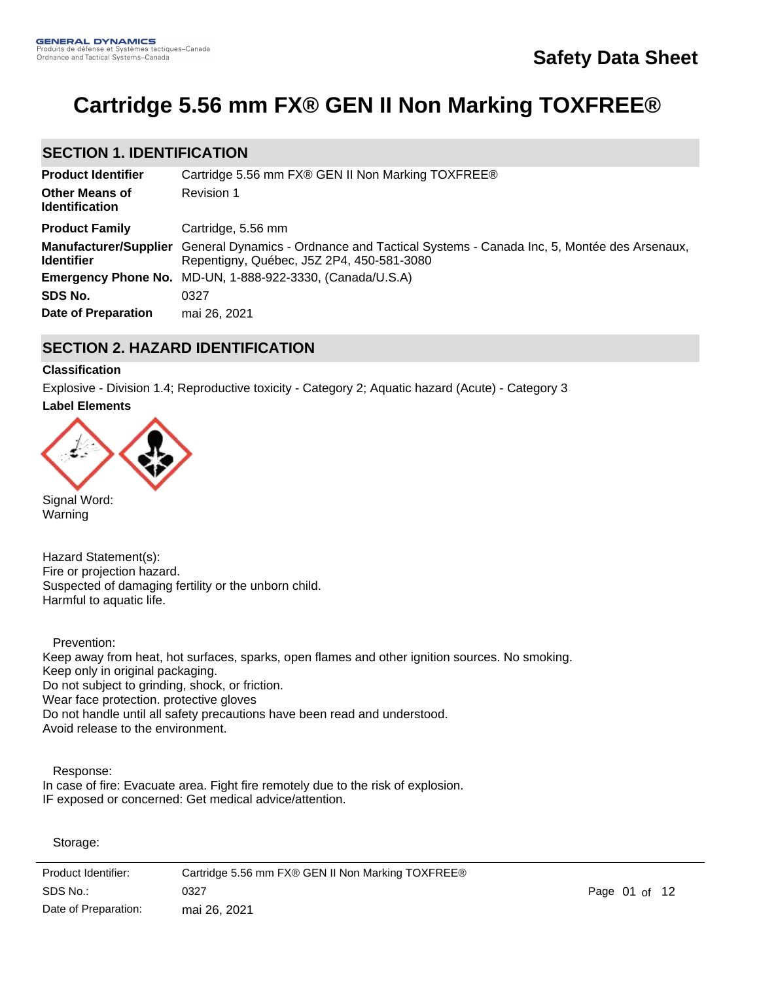# **Cartridge 5.56 mm FX® GEN II Non Marking TOXFREE®**

# **SECTION 1. IDENTIFICATION**

| <b>Product Identifier</b>                      | Cartridge 5.56 mm FX® GEN II Non Marking TOXFREE®                                                                                                         |
|------------------------------------------------|-----------------------------------------------------------------------------------------------------------------------------------------------------------|
| <b>Other Means of</b><br><b>Identification</b> | Revision 1                                                                                                                                                |
| <b>Product Family</b>                          | Cartridge, 5.56 mm                                                                                                                                        |
| <b>Identifier</b>                              | Manufacturer/Supplier General Dynamics - Ordnance and Tactical Systems - Canada Inc, 5, Montée des Arsenaux,<br>Repentigny, Québec, J5Z 2P4, 450-581-3080 |
|                                                | Emergency Phone No. MD-UN, 1-888-922-3330, (Canada/U.S.A)                                                                                                 |
| SDS No.                                        | 0327                                                                                                                                                      |
| Date of Preparation                            | mai 26, 2021                                                                                                                                              |

# **SECTION 2. HAZARD IDENTIFICATION**

### **Classification**

Explosive - Division 1.4; Reproductive toxicity - Category 2; Aquatic hazard (Acute) - Category 3

#### **Label Elements**



Signal Word: Warning

Hazard Statement(s): Fire or projection hazard. Suspected of damaging fertility or the unborn child. Harmful to aquatic life.

 Prevention: Keep away from heat, hot surfaces, sparks, open flames and other ignition sources. No smoking. Keep only in original packaging. Do not subject to grinding, shock, or friction. Wear face protection. protective gloves Do not handle until all safety precautions have been read and understood. Avoid release to the environment.

 Response: In case of fire: Evacuate area. Fight fire remotely due to the risk of explosion. IF exposed or concerned: Get medical advice/attention.

Storage:

Product Identifier: Cartridge 5.56 mm FX® GEN II Non Marking TOXFREE® Date of Preparation: SDS No.: os of the contract of the contract of the contract of the contract of the contract of the contract of the contract of the contract of the contract of the contract of the contract of the contract of the contract of the cont mai 26, 2021

Store in accordance with local, regional, national and international regulations.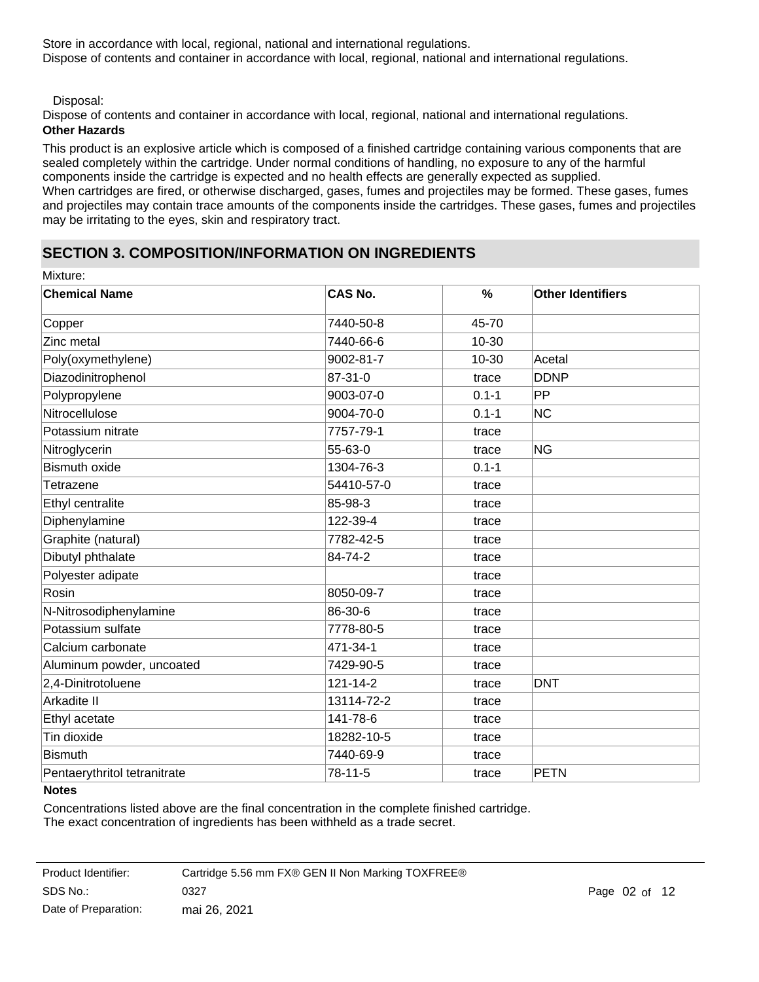Store in accordance with local, regional, national and international regulations. Dispose of contents and container in accordance with local, regional, national and international regulations.

Disposal:

Dispose of contents and container in accordance with local, regional, national and international regulations.

### **Other Hazards**

This product is an explosive article which is composed of a finished cartridge containing various components that are sealed completely within the cartridge. Under normal conditions of handling, no exposure to any of the harmful components inside the cartridge is expected and no health effects are generally expected as supplied. When cartridges are fired, or otherwise discharged, gases, fumes and projectiles may be formed. These gases, fumes and projectiles may contain trace amounts of the components inside the cartridges. These gases, fumes and projectiles may be irritating to the eyes, skin and respiratory tract.

# **SECTION 3. COMPOSITION/INFORMATION ON INGREDIENTS**

| <b>CAS No.</b> | $\frac{9}{6}$ | <b>Other Identifiers</b> |
|----------------|---------------|--------------------------|
| 7440-50-8      | 45-70         |                          |
| 7440-66-6      | 10-30         |                          |
| 9002-81-7      | 10-30         | Acetal                   |
| 87-31-0        | trace         | <b>DDNP</b>              |
| 9003-07-0      | $0.1 - 1$     | PP                       |
| 9004-70-0      | $0.1 - 1$     | <b>NC</b>                |
| 7757-79-1      | trace         |                          |
| 55-63-0        | trace         | <b>NG</b>                |
| 1304-76-3      | $0.1 - 1$     |                          |
| 54410-57-0     | trace         |                          |
| 85-98-3        | trace         |                          |
| 122-39-4       | trace         |                          |
| 7782-42-5      | trace         |                          |
| 84-74-2        | trace         |                          |
|                | trace         |                          |
| 8050-09-7      | trace         |                          |
| 86-30-6        | trace         |                          |
| 7778-80-5      | trace         |                          |
| 471-34-1       | trace         |                          |
| 7429-90-5      | trace         |                          |
| 121-14-2       | trace         | <b>DNT</b>               |
| 13114-72-2     | trace         |                          |
| 141-78-6       | trace         |                          |
| 18282-10-5     | trace         |                          |
| 7440-69-9      | trace         |                          |
| 78-11-5        | trace         | <b>PETN</b>              |
|                |               |                          |

#### **Notes**

Concentrations listed above are the final concentration in the complete finished cartridge. The exact concentration of ingredients has been withheld as a trade secret.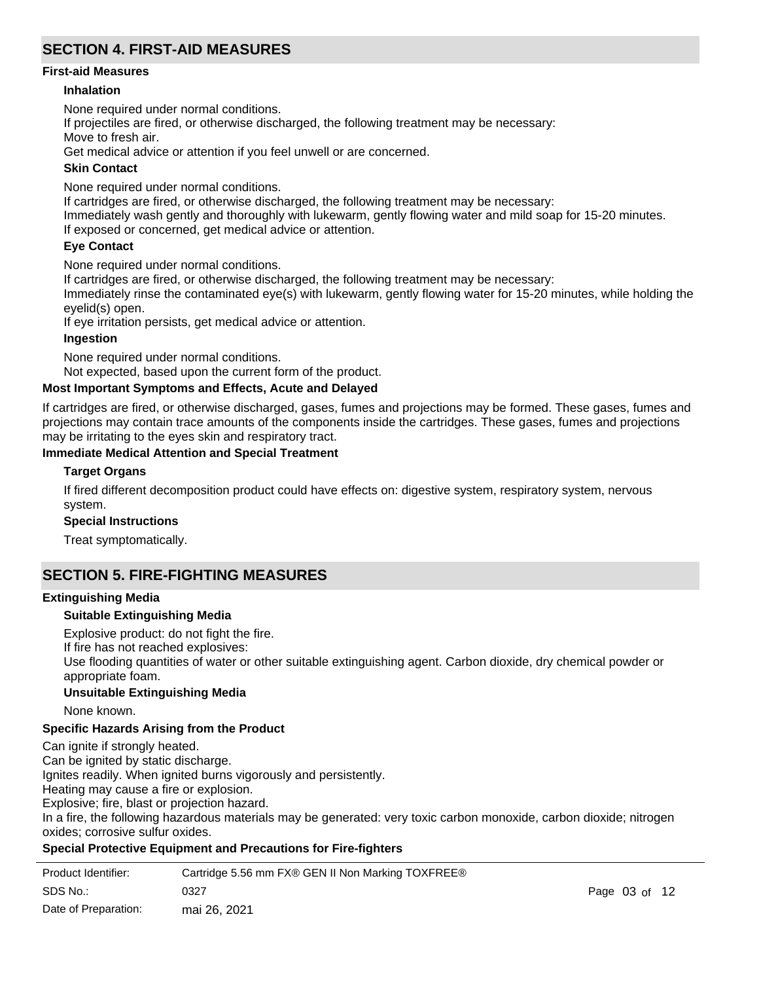# **SECTION 4. FIRST-AID MEASURES**

#### **First-aid Measures**

### **Inhalation**

None required under normal conditions.

If projectiles are fired, or otherwise discharged, the following treatment may be necessary:

Move to fresh air.

Get medical advice or attention if you feel unwell or are concerned.

### **Skin Contact**

None required under normal conditions.

If cartridges are fired, or otherwise discharged, the following treatment may be necessary:

Immediately wash gently and thoroughly with lukewarm, gently flowing water and mild soap for 15-20 minutes. If exposed or concerned, get medical advice or attention.

### **Eye Contact**

None required under normal conditions.

If cartridges are fired, or otherwise discharged, the following treatment may be necessary:

Immediately rinse the contaminated eye(s) with lukewarm, gently flowing water for 15-20 minutes, while holding the eyelid(s) open.

If eye irritation persists, get medical advice or attention.

### **Ingestion**

None required under normal conditions.

Not expected, based upon the current form of the product.

### **Most Important Symptoms and Effects, Acute and Delayed**

If cartridges are fired, or otherwise discharged, gases, fumes and projections may be formed. These gases, fumes and projections may contain trace amounts of the components inside the cartridges. These gases, fumes and projections may be irritating to the eyes skin and respiratory tract.

### **Immediate Medical Attention and Special Treatment**

### **Target Organs**

If fired different decomposition product could have effects on: digestive system, respiratory system, nervous system.

#### **Special Instructions**

Treat symptomatically.

# **SECTION 5. FIRE-FIGHTING MEASURES**

#### **Extinguishing Media**

#### **Suitable Extinguishing Media**

Explosive product: do not fight the fire.

If fire has not reached explosives:

Use flooding quantities of water or other suitable extinguishing agent. Carbon dioxide, dry chemical powder or appropriate foam.

#### **Unsuitable Extinguishing Media**

None known.

### **Specific Hazards Arising from the Product**

Can ignite if strongly heated.

Can be ignited by static discharge.

Ignites readily. When ignited burns vigorously and persistently.

Heating may cause a fire or explosion.

Explosive; fire, blast or projection hazard.

In a fire, the following hazardous materials may be generated: very toxic carbon monoxide, carbon dioxide; nitrogen oxides; corrosive sulfur oxides.

### **Special Protective Equipment and Precautions for Fire-fighters**

| Product Identifier:  | Cartridge 5.56 mm FX® GEN II Non Marking TOXFREE® |                   |  |
|----------------------|---------------------------------------------------|-------------------|--|
| SDS No.:             | 0327                                              | Page $03$ of $12$ |  |
| Date of Preparation: | mai 26, 2021                                      |                   |  |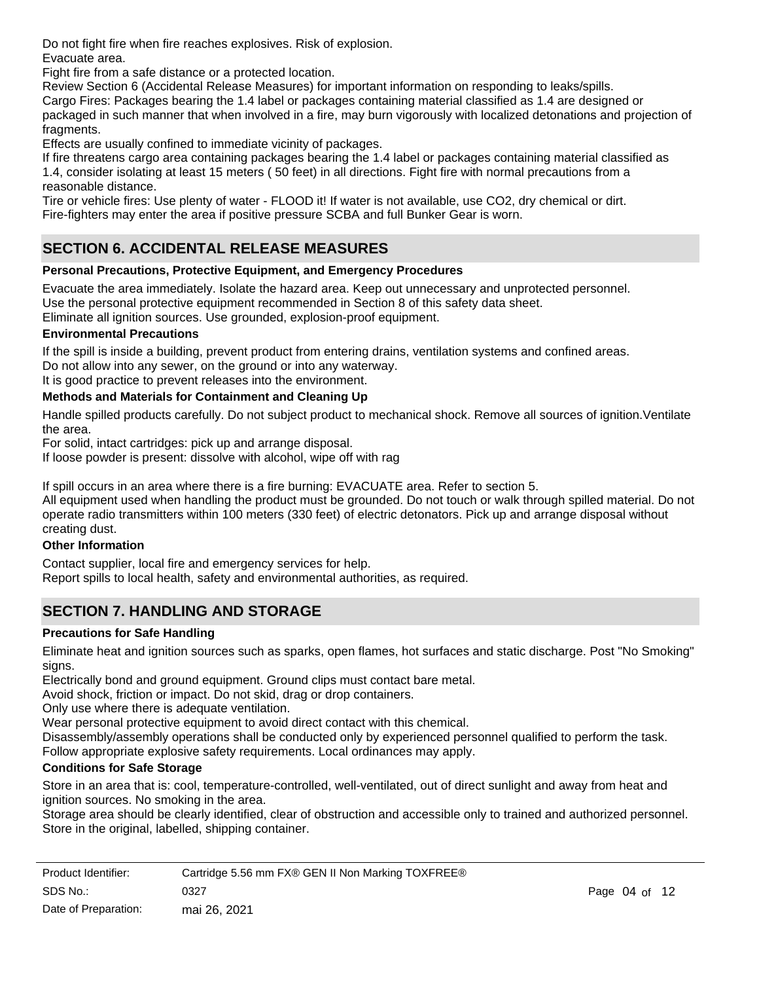Do not fight fire when fire reaches explosives. Risk of explosion. Evacuate area.

Fight fire from a safe distance or a protected location.

Review Section 6 (Accidental Release Measures) for important information on responding to leaks/spills.

Cargo Fires: Packages bearing the 1.4 label or packages containing material classified as 1.4 are designed or packaged in such manner that when involved in a fire, may burn vigorously with localized detonations and projection of fragments.

Effects are usually confined to immediate vicinity of packages.

If fire threatens cargo area containing packages bearing the 1.4 label or packages containing material classified as 1.4, consider isolating at least 15 meters ( 50 feet) in all directions. Fight fire with normal precautions from a reasonable distance.

Tire or vehicle fires: Use plenty of water - FLOOD it! If water is not available, use CO2, dry chemical or dirt. Fire-fighters may enter the area if positive pressure SCBA and full Bunker Gear is worn.

# **SECTION 6. ACCIDENTAL RELEASE MEASURES**

# **Personal Precautions, Protective Equipment, and Emergency Procedures**

Evacuate the area immediately. Isolate the hazard area. Keep out unnecessary and unprotected personnel. Use the personal protective equipment recommended in Section 8 of this safety data sheet.

Eliminate all ignition sources. Use grounded, explosion-proof equipment.

### **Environmental Precautions**

If the spill is inside a building, prevent product from entering drains, ventilation systems and confined areas. Do not allow into any sewer, on the ground or into any waterway.

It is good practice to prevent releases into the environment.

# **Methods and Materials for Containment and Cleaning Up**

Handle spilled products carefully. Do not subject product to mechanical shock. Remove all sources of ignition.Ventilate the area.

For solid, intact cartridges: pick up and arrange disposal.

If loose powder is present: dissolve with alcohol, wipe off with rag

If spill occurs in an area where there is a fire burning: EVACUATE area. Refer to section 5.

All equipment used when handling the product must be grounded. Do not touch or walk through spilled material. Do not operate radio transmitters within 100 meters (330 feet) of electric detonators. Pick up and arrange disposal without creating dust.

### **Other Information**

Contact supplier, local fire and emergency services for help.

Report spills to local health, safety and environmental authorities, as required.

# **SECTION 7. HANDLING AND STORAGE**

# **Precautions for Safe Handling**

Eliminate heat and ignition sources such as sparks, open flames, hot surfaces and static discharge. Post "No Smoking" signs.

Electrically bond and ground equipment. Ground clips must contact bare metal.

Avoid shock, friction or impact. Do not skid, drag or drop containers.

Only use where there is adequate ventilation.

Wear personal protective equipment to avoid direct contact with this chemical.

Disassembly/assembly operations shall be conducted only by experienced personnel qualified to perform the task.

Follow appropriate explosive safety requirements. Local ordinances may apply.

### **Conditions for Safe Storage**

Store in an area that is: cool, temperature-controlled, well-ventilated, out of direct sunlight and away from heat and ignition sources. No smoking in the area.

Storage area should be clearly identified, clear of obstruction and accessible only to trained and authorized personnel. Store in the original, labelled, shipping container.

| Product Identifier:  | Cartridge 5.56 mm FX® GEN II Non Marking TOXFREE® |                   |  |
|----------------------|---------------------------------------------------|-------------------|--|
| SDS No.:             | 0327                                              | Page $04$ of $12$ |  |
| Date of Preparation: | mai 26, 2021                                      |                   |  |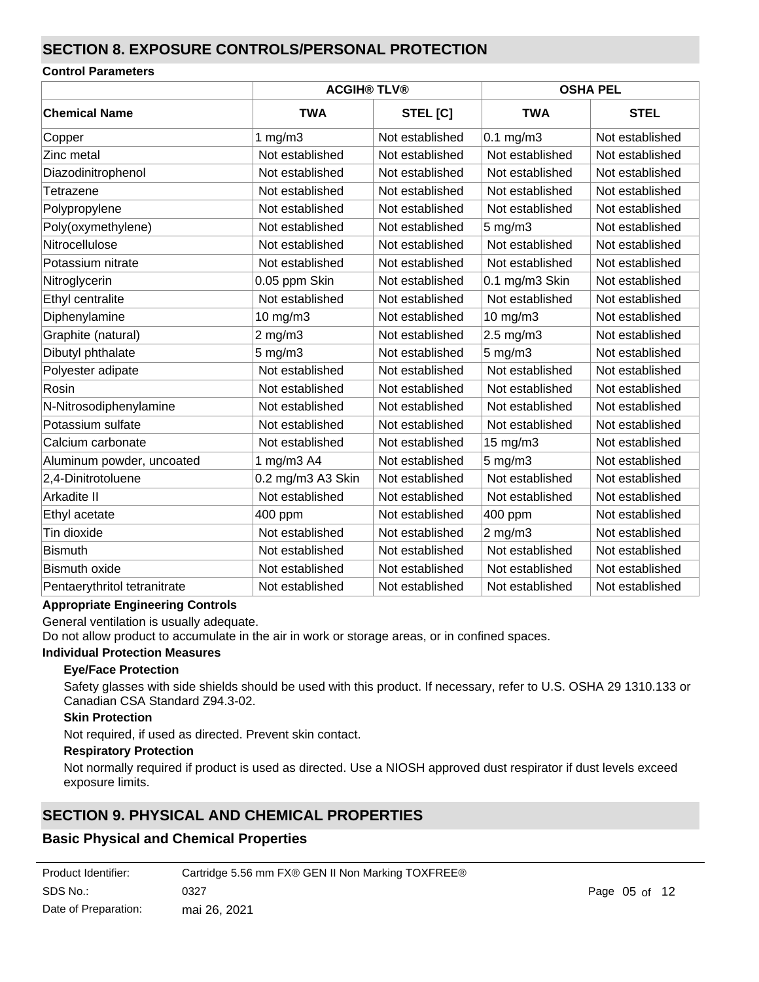# **SECTION 8. EXPOSURE CONTROLS/PERSONAL PROTECTION**

### **Control Parameters**

|                              | <b>ACGIH® TLV®</b> |                 | <b>OSHA PEL</b>  |                 |  |
|------------------------------|--------------------|-----------------|------------------|-----------------|--|
| <b>Chemical Name</b>         | <b>TWA</b>         | STEL [C]        | <b>TWA</b>       | <b>STEL</b>     |  |
| Copper                       | 1 $mg/m3$          | Not established | $0.1$ mg/m $3$   | Not established |  |
| Zinc metal                   | Not established    | Not established | Not established  | Not established |  |
| Diazodinitrophenol           | Not established    | Not established | Not established  | Not established |  |
| Tetrazene                    | Not established    | Not established | Not established  | Not established |  |
| Polypropylene                | Not established    | Not established | Not established  | Not established |  |
| Poly(oxymethylene)           | Not established    | Not established | $5 \text{ mg/m}$ | Not established |  |
| Nitrocellulose               | Not established    | Not established | Not established  | Not established |  |
| Potassium nitrate            | Not established    | Not established | Not established  | Not established |  |
| Nitroglycerin                | 0.05 ppm Skin      | Not established | 0.1 mg/m3 Skin   | Not established |  |
| Ethyl centralite             | Not established    | Not established | Not established  | Not established |  |
| Diphenylamine                | 10 mg/m3           | Not established | 10 mg/m3         | Not established |  |
| Graphite (natural)           | $2$ mg/m $3$       | Not established | 2.5 mg/m3        | Not established |  |
| Dibutyl phthalate            | $5$ mg/m $3$       | Not established | $5$ mg/m $3$     | Not established |  |
| Polyester adipate            | Not established    | Not established | Not established  | Not established |  |
| Rosin                        | Not established    | Not established | Not established  | Not established |  |
| N-Nitrosodiphenylamine       | Not established    | Not established | Not established  | Not established |  |
| Potassium sulfate            | Not established    | Not established | Not established  | Not established |  |
| Calcium carbonate            | Not established    | Not established | 15 mg/m3         | Not established |  |
| Aluminum powder, uncoated    | 1 mg/m3 A4         | Not established | $5$ mg/m $3$     | Not established |  |
| 2,4-Dinitrotoluene           | 0.2 mg/m3 A3 Skin  | Not established | Not established  | Not established |  |
| Arkadite II                  | Not established    | Not established | Not established  | Not established |  |
| Ethyl acetate                | 400 ppm            | Not established | 400 ppm          | Not established |  |
| Tin dioxide                  | Not established    | Not established | 2 mg/m $3$       | Not established |  |
| <b>Bismuth</b>               | Not established    | Not established | Not established  | Not established |  |
| <b>Bismuth oxide</b>         | Not established    | Not established | Not established  | Not established |  |
| Pentaerythritol tetranitrate | Not established    | Not established | Not established  | Not established |  |

#### **Appropriate Engineering Controls**

General ventilation is usually adequate.

Do not allow product to accumulate in the air in work or storage areas, or in confined spaces.

#### **Individual Protection Measures**

### **Eye/Face Protection**

Safety glasses with side shields should be used with this product. If necessary, refer to U.S. OSHA 29 1310.133 or Canadian CSA Standard Z94.3-02.

### **Skin Protection**

Not required, if used as directed. Prevent skin contact.

#### **Respiratory Protection**

Not normally required if product is used as directed. Use a NIOSH approved dust respirator if dust levels exceed exposure limits.

# **SECTION 9. PHYSICAL AND CHEMICAL PROPERTIES**

# **Basic Physical and Chemical Properties**

| Product Identifier:  | Cartridge 5.56 mm FX® GEN II Non Marking TOXFREE® |
|----------------------|---------------------------------------------------|
| SDS No.:             | 0327                                              |
| Date of Preparation: | mai 26, 2021                                      |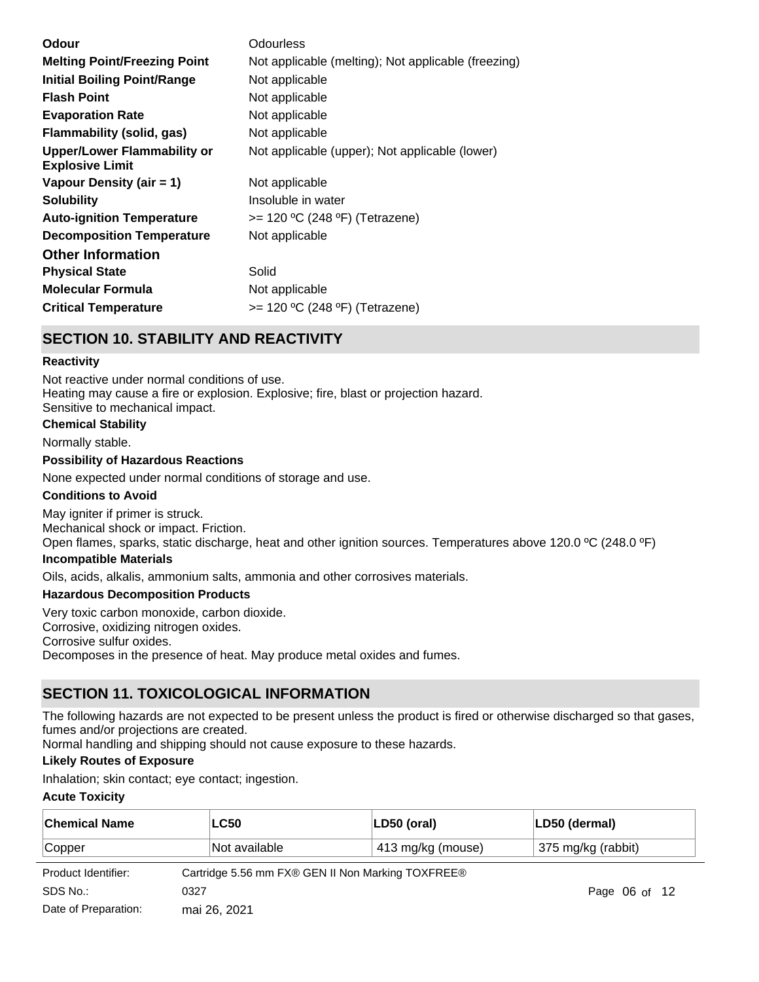| Odour                                                        | Odourless                                           |
|--------------------------------------------------------------|-----------------------------------------------------|
| <b>Melting Point/Freezing Point</b>                          | Not applicable (melting); Not applicable (freezing) |
| <b>Initial Boiling Point/Range</b>                           | Not applicable                                      |
| <b>Flash Point</b>                                           | Not applicable                                      |
| <b>Evaporation Rate</b>                                      | Not applicable                                      |
| Flammability (solid, gas)                                    | Not applicable                                      |
| <b>Upper/Lower Flammability or</b><br><b>Explosive Limit</b> | Not applicable (upper); Not applicable (lower)      |
| Vapour Density (air = 1)                                     | Not applicable                                      |
| <b>Solubility</b>                                            | Insoluble in water                                  |
| <b>Auto-ignition Temperature</b>                             | $>= 120 °C (248 °F)$ (Tetrazene)                    |
| <b>Decomposition Temperature</b>                             | Not applicable                                      |
| <b>Other Information</b>                                     |                                                     |
| <b>Physical State</b>                                        | Solid                                               |
| <b>Molecular Formula</b>                                     | Not applicable                                      |
| <b>Critical Temperature</b>                                  | $>= 120 °C (248 °F)$ (Tetrazene)                    |
|                                                              |                                                     |

# **SECTION 10. STABILITY AND REACTIVITY**

### **Reactivity**

Not reactive under normal conditions of use. Heating may cause a fire or explosion. Explosive; fire, blast or projection hazard. Sensitive to mechanical impact.

# **Chemical Stability**

#### Normally stable.

#### **Possibility of Hazardous Reactions**

None expected under normal conditions of storage and use.

#### **Conditions to Avoid**

May igniter if primer is struck. Mechanical shock or impact. Friction. Open flames, sparks, static discharge, heat and other ignition sources. Temperatures above 120.0 °C (248.0 °F)

### **Incompatible Materials**

Oils, acids, alkalis, ammonium salts, ammonia and other corrosives materials.

### **Hazardous Decomposition Products**

Very toxic carbon monoxide, carbon dioxide.

Corrosive, oxidizing nitrogen oxides.

Corrosive sulfur oxides.

Decomposes in the presence of heat. May produce metal oxides and fumes.

# **SECTION 11. TOXICOLOGICAL INFORMATION**

The following hazards are not expected to be present unless the product is fired or otherwise discharged so that gases, fumes and/or projections are created.

Normal handling and shipping should not cause exposure to these hazards.

### **Likely Routes of Exposure**

Inhalation; skin contact; eye contact; ingestion.

### **Acute Toxicity**

| <b>Chemical Name</b> |                                    | <b>LC50</b>                                       | LD50 (oral)        | LD50 (dermal) |               |  |
|----------------------|------------------------------------|---------------------------------------------------|--------------------|---------------|---------------|--|
| Copper               | 413 mg/kg (mouse)<br>Not available |                                                   | 375 mg/kg (rabbit) |               |               |  |
| Product Identifier:  |                                    | Cartridge 5.56 mm FX® GEN II Non Marking TOXFREE® |                    |               |               |  |
| SDS No.:             | 0327                               |                                                   |                    |               | Page 06 of 12 |  |
| Date of Preparation: |                                    | mai 26, 2021                                      |                    |               |               |  |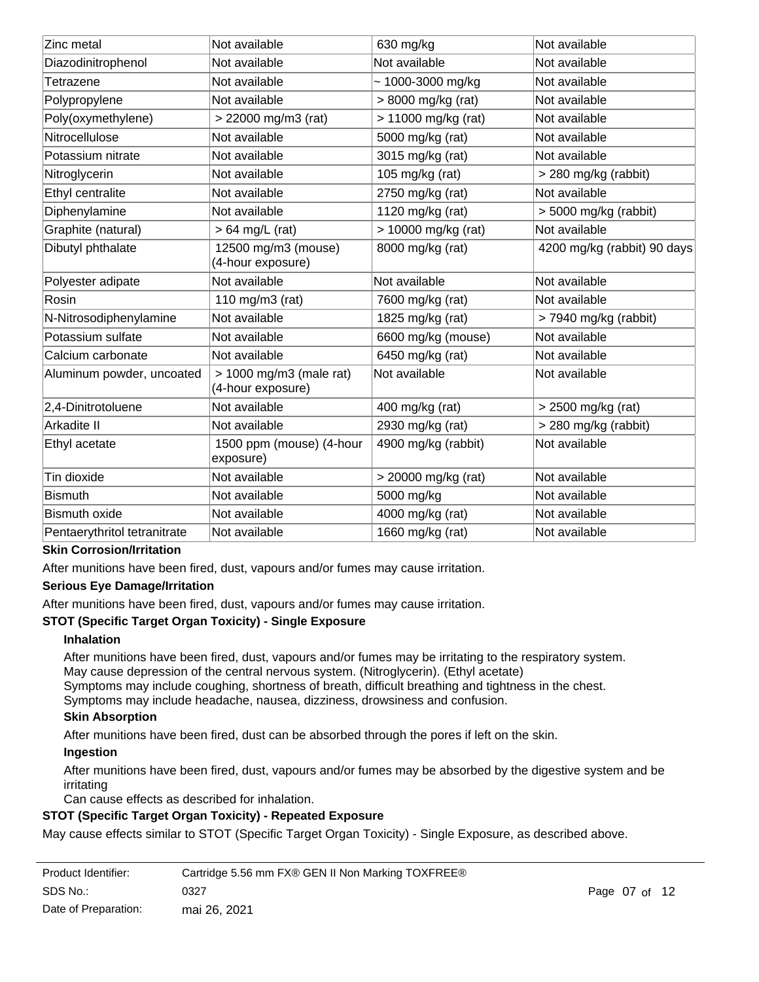| Zinc metal                   | Not available                                  | 630 mg/kg              | Not available               |
|------------------------------|------------------------------------------------|------------------------|-----------------------------|
| Diazodinitrophenol           | Not available                                  | Not available          | Not available               |
| Tetrazene                    | Not available                                  | $\sim$ 1000-3000 mg/kg | Not available               |
| Polypropylene                | Not available                                  | > 8000 mg/kg (rat)     | Not available               |
| Poly(oxymethylene)           | > 22000 mg/m3 (rat)                            | > 11000 mg/kg (rat)    | Not available               |
| Nitrocellulose               | Not available                                  | 5000 mg/kg (rat)       | Not available               |
| Potassium nitrate            | Not available                                  | 3015 mg/kg (rat)       | Not available               |
| Nitroglycerin                | Not available                                  | 105 mg/kg (rat)        | > 280 mg/kg (rabbit)        |
| Ethyl centralite             | Not available                                  | 2750 mg/kg (rat)       | Not available               |
| Diphenylamine                | Not available                                  | 1120 mg/kg (rat)       | $>$ 5000 mg/kg (rabbit)     |
| Graphite (natural)           | $> 64$ mg/L (rat)                              | > 10000 mg/kg (rat)    | Not available               |
| Dibutyl phthalate            | 12500 mg/m3 (mouse)<br>(4-hour exposure)       | 8000 mg/kg (rat)       | 4200 mg/kg (rabbit) 90 days |
| Polyester adipate            | Not available                                  | Not available          | Not available               |
| Rosin                        | 110 mg/m $3$ (rat)                             | 7600 mg/kg (rat)       | Not available               |
| N-Nitrosodiphenylamine       | Not available                                  | 1825 mg/kg (rat)       | > 7940 mg/kg (rabbit)       |
| Potassium sulfate            | Not available                                  | 6600 mg/kg (mouse)     | Not available               |
| Calcium carbonate            | Not available                                  | 6450 mg/kg (rat)       | Not available               |
| Aluminum powder, uncoated    | $> 1000$ mg/m3 (male rat)<br>(4-hour exposure) | Not available          | Not available               |
| 2,4-Dinitrotoluene           | Not available                                  | 400 mg/kg (rat)        | > 2500 mg/kg (rat)          |
| Arkadite II                  | Not available                                  | 2930 mg/kg (rat)       | > 280 mg/kg (rabbit)        |
| Ethyl acetate                | 1500 ppm (mouse) (4-hour<br>exposure)          | 4900 mg/kg (rabbit)    | Not available               |
| Tin dioxide                  | Not available                                  | > 20000 mg/kg (rat)    | Not available               |
| <b>Bismuth</b>               | Not available                                  | 5000 mg/kg             | Not available               |
| <b>Bismuth oxide</b>         | Not available                                  | 4000 mg/kg (rat)       | Not available               |
| Pentaerythritol tetranitrate | Not available                                  | 1660 mg/kg (rat)       | Not available               |

### **Skin Corrosion/Irritation**

After munitions have been fired, dust, vapours and/or fumes may cause irritation.

#### **Serious Eye Damage/Irritation**

After munitions have been fired, dust, vapours and/or fumes may cause irritation.

### **STOT (Specific Target Organ Toxicity) - Single Exposure**

### **Inhalation**

After munitions have been fired, dust, vapours and/or fumes may be irritating to the respiratory system. May cause depression of the central nervous system. (Nitroglycerin). (Ethyl acetate)

Symptoms may include coughing, shortness of breath, difficult breathing and tightness in the chest.

Symptoms may include headache, nausea, dizziness, drowsiness and confusion.

# **Skin Absorption**

After munitions have been fired, dust can be absorbed through the pores if left on the skin.

### **Ingestion**

After munitions have been fired, dust, vapours and/or fumes may be absorbed by the digestive system and be irritating

Can cause effects as described for inhalation.

### **STOT (Specific Target Organ Toxicity) - Repeated Exposure**

May cause effects similar to STOT (Specific Target Organ Toxicity) - Single Exposure, as described above.

| Product Identifier:  | Cartridge 5.56 mm FX® GEN II Non Marking TOXFREE® |               |  |
|----------------------|---------------------------------------------------|---------------|--|
| SDS No.:             | 0327                                              | Page 07 of 12 |  |
| Date of Preparation: | mai 26, 2021                                      |               |  |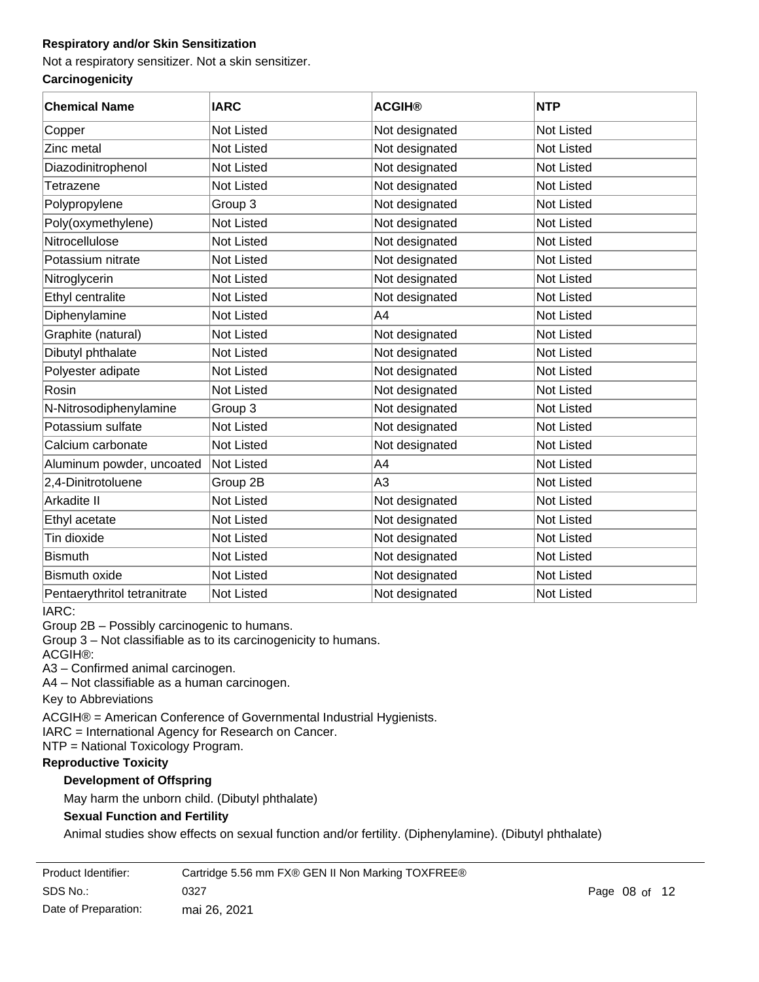# **Respiratory and/or Skin Sensitization**

Not a respiratory sensitizer. Not a skin sensitizer.

### **Carcinogenicity**

| <b>Chemical Name</b>         | <b>IARC</b>       | <b>ACGIH®</b>  | <b>NTP</b>        |
|------------------------------|-------------------|----------------|-------------------|
| Copper                       | <b>Not Listed</b> | Not designated | <b>Not Listed</b> |
| Zinc metal                   | <b>Not Listed</b> | Not designated | Not Listed        |
| Diazodinitrophenol           | Not Listed        | Not designated | <b>Not Listed</b> |
| Tetrazene                    | Not Listed        | Not designated | <b>Not Listed</b> |
| Polypropylene                | Group 3           | Not designated | <b>Not Listed</b> |
| Poly(oxymethylene)           | Not Listed        | Not designated | Not Listed        |
| Nitrocellulose               | Not Listed        | Not designated | <b>Not Listed</b> |
| Potassium nitrate            | Not Listed        | Not designated | <b>Not Listed</b> |
| Nitroglycerin                | <b>Not Listed</b> | Not designated | <b>Not Listed</b> |
| Ethyl centralite             | <b>Not Listed</b> | Not designated | <b>Not Listed</b> |
| Diphenylamine                | <b>Not Listed</b> | A4             | <b>Not Listed</b> |
| Graphite (natural)           | Not Listed        | Not designated | <b>Not Listed</b> |
| Dibutyl phthalate            | <b>Not Listed</b> | Not designated | <b>Not Listed</b> |
| Polyester adipate            | <b>Not Listed</b> | Not designated | <b>Not Listed</b> |
| Rosin                        | <b>Not Listed</b> | Not designated | <b>Not Listed</b> |
| N-Nitrosodiphenylamine       | Group 3           | Not designated | <b>Not Listed</b> |
| Potassium sulfate            | <b>Not Listed</b> | Not designated | <b>Not Listed</b> |
| Calcium carbonate            | <b>Not Listed</b> | Not designated | Not Listed        |
| Aluminum powder, uncoated    | <b>Not Listed</b> | A4             | <b>Not Listed</b> |
| 2,4-Dinitrotoluene           | Group 2B          | A <sub>3</sub> | <b>Not Listed</b> |
| Arkadite II                  | Not Listed        | Not designated | Not Listed        |
| Ethyl acetate                | Not Listed        | Not designated | Not Listed        |
| Tin dioxide                  | Not Listed        | Not designated | Not Listed        |
| <b>Bismuth</b>               | Not Listed        | Not designated | Not Listed        |
| <b>Bismuth oxide</b>         | <b>Not Listed</b> | Not designated | Not Listed        |
| Pentaerythritol tetranitrate | <b>Not Listed</b> | Not designated | Not Listed        |

IARC:

Group 2B – Possibly carcinogenic to humans.

Group 3 – Not classifiable as to its carcinogenicity to humans.

ACGIH®:

A3 – Confirmed animal carcinogen.

A4 – Not classifiable as a human carcinogen.

Key to Abbreviations

ACGIH® = American Conference of Governmental Industrial Hygienists.

IARC = International Agency for Research on Cancer.

NTP = National Toxicology Program.

### **Reproductive Toxicity**

### **Development of Offspring**

May harm the unborn child. (Dibutyl phthalate)

# **Sexual Function and Fertility**

Animal studies show effects on sexual function and/or fertility. (Diphenylamine). (Dibutyl phthalate)

| Product Identifier:  | Cartridge 5.56 mm FX® GEN II Non Marking TOXFREE® |      |
|----------------------|---------------------------------------------------|------|
| SDS No.:             | 0327                                              | Page |
| Date of Preparation: | mai 26, 2021                                      |      |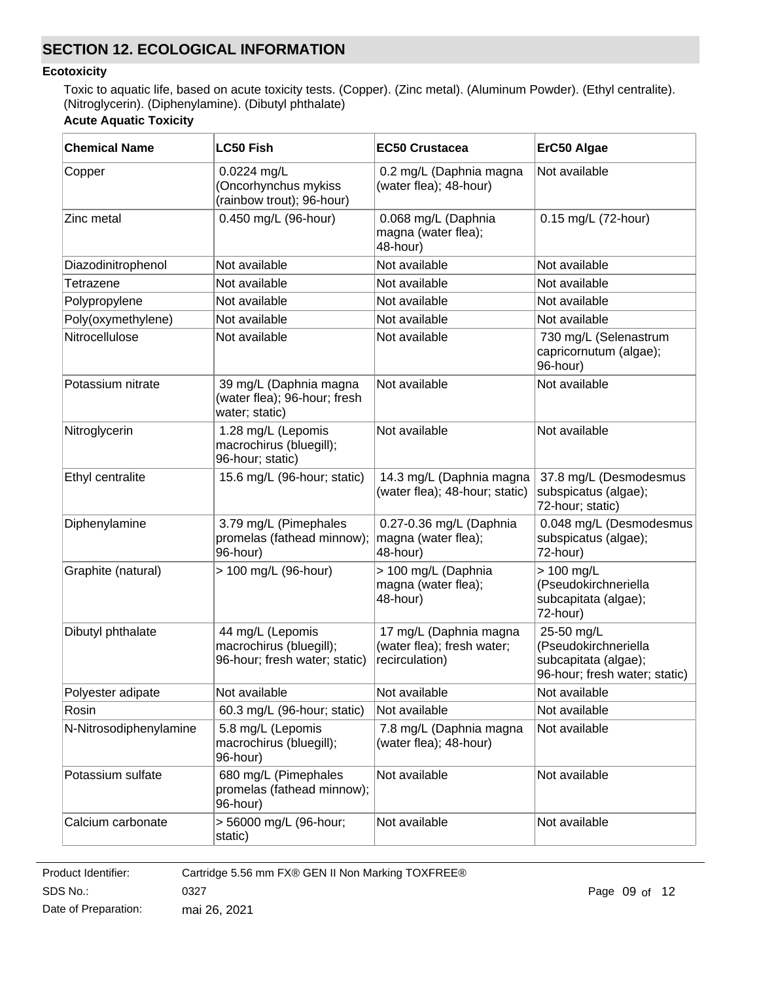# **SECTION 12. ECOLOGICAL INFORMATION**

#### **Ecotoxicity**

Toxic to aquatic life, based on acute toxicity tests. (Copper). (Zinc metal). (Aluminum Powder). (Ethyl centralite). (Nitroglycerin). (Diphenylamine). (Dibutyl phthalate)

# **Acute Aquatic Toxicity**

| <b>Chemical Name</b>   | <b>LC50 Fish</b>                                                             | <b>EC50 Crustacea</b>                                                  | ErC50 Algae                                                                                 |  |
|------------------------|------------------------------------------------------------------------------|------------------------------------------------------------------------|---------------------------------------------------------------------------------------------|--|
| Copper                 | $0.0224$ mg/L<br>(Oncorhynchus mykiss<br>(rainbow trout); 96-hour)           | 0.2 mg/L (Daphnia magna<br>(water flea); 48-hour)                      | Not available                                                                               |  |
| Zinc metal             | 0.450 mg/L (96-hour)                                                         | 0.068 mg/L (Daphnia<br>magna (water flea);<br>48-hour)                 | 0.15 mg/L (72-hour)                                                                         |  |
| Diazodinitrophenol     | Not available                                                                | Not available                                                          | Not available                                                                               |  |
| Tetrazene              | Not available                                                                | Not available                                                          | Not available                                                                               |  |
| Polypropylene          | Not available                                                                | Not available                                                          | Not available                                                                               |  |
| Poly(oxymethylene)     | Not available                                                                | Not available                                                          | Not available                                                                               |  |
| Nitrocellulose         | Not available                                                                | Not available                                                          | 730 mg/L (Selenastrum<br>capricornutum (algae);<br>96-hour)                                 |  |
| Potassium nitrate      | 39 mg/L (Daphnia magna<br>(water flea); 96-hour; fresh<br>water; static)     | Not available                                                          | Not available                                                                               |  |
| Nitroglycerin          | 1.28 mg/L (Lepomis<br>macrochirus (bluegill);<br>96-hour; static)            | Not available                                                          | Not available                                                                               |  |
| Ethyl centralite       | 15.6 mg/L (96-hour; static)                                                  | 14.3 mg/L (Daphnia magna<br>(water flea); 48-hour; static)             | 37.8 mg/L (Desmodesmus<br>subspicatus (algae);<br>72-hour; static)                          |  |
| Diphenylamine          | 3.79 mg/L (Pimephales<br>promelas (fathead minnow);<br>96-hour)              | 0.27-0.36 mg/L (Daphnia<br>magna (water flea);<br>48-hour)             | 0.048 mg/L (Desmodesmus<br>subspicatus (algae);<br>72-hour)                                 |  |
| Graphite (natural)     | > 100 mg/L (96-hour)                                                         | > 100 mg/L (Daphnia<br>magna (water flea);<br>48-hour)                 | $> 100$ mg/L<br>(Pseudokirchneriella<br>subcapitata (algae);<br>72-hour)                    |  |
| Dibutyl phthalate      | 44 mg/L (Lepomis<br>macrochirus (bluegill);<br>96-hour; fresh water; static) | 17 mg/L (Daphnia magna<br>(water flea); fresh water;<br>recirculation) | 25-50 mg/L<br>(Pseudokirchneriella<br>subcapitata (algae);<br>96-hour; fresh water; static) |  |
| Polyester adipate      | Not available                                                                | Not available                                                          | Not available                                                                               |  |
| Rosin                  | 60.3 mg/L (96-hour; static)                                                  | Not available                                                          | Not available                                                                               |  |
| N-Nitrosodiphenylamine | 5.8 mg/L (Lepomis<br>macrochirus (bluegill);<br>96-hour)                     | 7.8 mg/L (Daphnia magna<br>(water flea); 48-hour)                      | Not available                                                                               |  |
| Potassium sulfate      | 680 mg/L (Pimephales<br>promelas (fathead minnow);<br>96-hour)               | Not available                                                          | Not available                                                                               |  |
| Calcium carbonate      | > 56000 mg/L (96-hour;<br>static)                                            | Not available                                                          | Not available                                                                               |  |

**Product Identifier:** SDS No.: Date of Preparation: 0327 Page 09 of 12 mai 26, 2021 Cartridge 5.56 mm FX® GEN II Non Marking TOXFREE®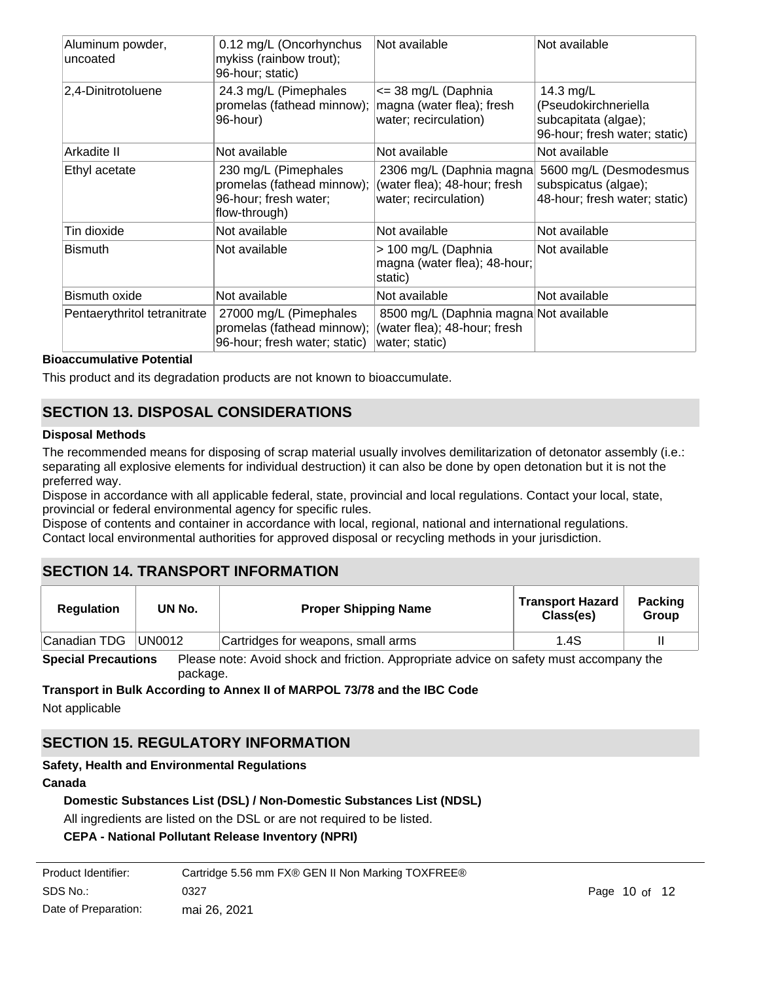| Aluminum powder,<br>uncoated | 0.12 mg/L (Oncorhynchus<br>mykiss (rainbow trout);<br>96-hour; static)                       | Not available                                                                            | Not available                                                                                |
|------------------------------|----------------------------------------------------------------------------------------------|------------------------------------------------------------------------------------------|----------------------------------------------------------------------------------------------|
| 2,4-Dinitrotoluene           | 24.3 mg/L (Pimephales<br>promelas (fathead minnow);<br>96-hour)                              | <= 38 mg/L (Daphnia<br>magna (water flea); fresh<br>water; recirculation)                | 14.3 $mg/L$<br>(Pseudokirchneriella<br>subcapitata (algae);<br>96-hour; fresh water; static) |
| Arkadite II                  | Not available                                                                                | Not available                                                                            | Not available                                                                                |
| Ethyl acetate                | 230 mg/L (Pimephales<br>promelas (fathead minnow);<br>96-hour; fresh water;<br>flow-through) | 2306 mg/L (Daphnia magna)<br>(water flea); 48-hour; fresh<br>water; recirculation)       | 5600 mg/L (Desmodesmus<br>subspicatus (algae);<br>48-hour; fresh water; static)              |
| Tin dioxide                  | Not available                                                                                | Not available                                                                            | Not available                                                                                |
| <b>Bismuth</b>               | Not available                                                                                | > 100 mg/L (Daphnia<br>magna (water flea); 48-hour;<br>static)                           | Not available                                                                                |
| <b>Bismuth oxide</b>         | Not available                                                                                | Not available                                                                            | Not available                                                                                |
| Pentaerythritol tetranitrate | 27000 mg/L (Pimephales<br>promelas (fathead minnow);<br>96-hour; fresh water; static)        | 8500 mg/L (Daphnia magna Not available<br>(water flea); 48-hour; fresh<br>water; static) |                                                                                              |

### **Bioaccumulative Potential**

This product and its degradation products are not known to bioaccumulate.

# **SECTION 13. DISPOSAL CONSIDERATIONS**

#### **Disposal Methods**

The recommended means for disposing of scrap material usually involves demilitarization of detonator assembly (i.e.: separating all explosive elements for individual destruction) it can also be done by open detonation but it is not the preferred way.

Dispose in accordance with all applicable federal, state, provincial and local regulations. Contact your local, state, provincial or federal environmental agency for specific rules.

Dispose of contents and container in accordance with local, regional, national and international regulations. Contact local environmental authorities for approved disposal or recycling methods in your jurisdiction.

# **SECTION 14. TRANSPORT INFORMATION**

| <b>Regulation</b> | UN No. | <b>Proper Shipping Name</b>        | <b>Transport Hazard</b><br>Class(es) | <b>Packing</b><br>Group |
|-------------------|--------|------------------------------------|--------------------------------------|-------------------------|
| Canadian TDG      | UN0012 | Cartridges for weapons, small arms | 1.4S                                 |                         |
| - - - -           | --     | .                                  |                                      |                         |

**Special Precautions** Please note: Avoid shock and friction. Appropriate advice on safety must accompany the package.

**Transport in Bulk According to Annex II of MARPOL 73/78 and the IBC Code** Not applicable

# **SECTION 15. REGULATORY INFORMATION**

### **Safety, Health and Environmental Regulations**

#### **Canada**

### **Domestic Substances List (DSL) / Non-Domestic Substances List (NDSL)**

All ingredients are listed on the DSL or are not required to be listed.

# **CEPA - National Pollutant Release Inventory (NPRI)**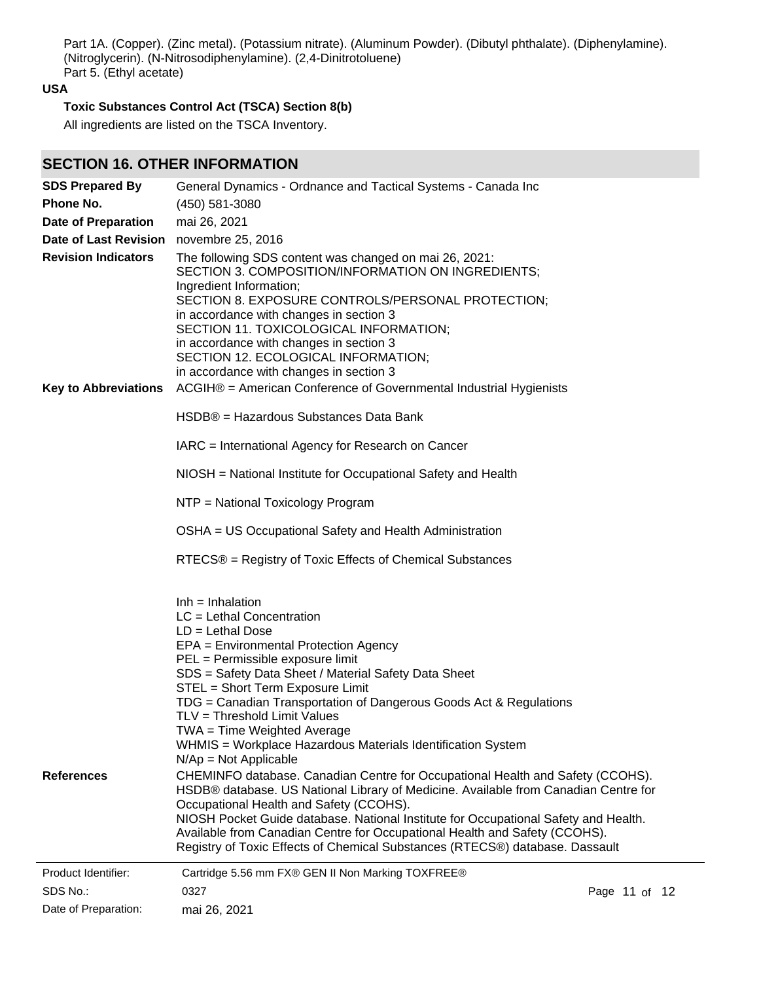Part 1A. (Copper). (Zinc metal). (Potassium nitrate). (Aluminum Powder). (Dibutyl phthalate). (Diphenylamine). (Nitroglycerin). (N-Nitrosodiphenylamine). (2,4-Dinitrotoluene) Part 5. (Ethyl acetate)

# **USA**

# **Toxic Substances Control Act (TSCA) Section 8(b)**

All ingredients are listed on the TSCA Inventory.

# **SECTION 16. OTHER INFORMATION**

| <b>SDS Prepared By</b>                                    | General Dynamics - Ordnance and Tactical Systems - Canada Inc                                                                                                                                                                                                                                                                                                                                                                                                                                                                                                                                                                                                                                                                                                                                                                                                                                                                                             |               |  |
|-----------------------------------------------------------|-----------------------------------------------------------------------------------------------------------------------------------------------------------------------------------------------------------------------------------------------------------------------------------------------------------------------------------------------------------------------------------------------------------------------------------------------------------------------------------------------------------------------------------------------------------------------------------------------------------------------------------------------------------------------------------------------------------------------------------------------------------------------------------------------------------------------------------------------------------------------------------------------------------------------------------------------------------|---------------|--|
| Phone No.                                                 | (450) 581-3080                                                                                                                                                                                                                                                                                                                                                                                                                                                                                                                                                                                                                                                                                                                                                                                                                                                                                                                                            |               |  |
| <b>Date of Preparation</b>                                | mai 26, 2021                                                                                                                                                                                                                                                                                                                                                                                                                                                                                                                                                                                                                                                                                                                                                                                                                                                                                                                                              |               |  |
| Date of Last Revision                                     | novembre 25, 2016                                                                                                                                                                                                                                                                                                                                                                                                                                                                                                                                                                                                                                                                                                                                                                                                                                                                                                                                         |               |  |
| <b>Revision Indicators</b><br><b>Key to Abbreviations</b> | The following SDS content was changed on mai 26, 2021:<br>SECTION 3. COMPOSITION/INFORMATION ON INGREDIENTS;<br>Ingredient Information;<br>SECTION 8. EXPOSURE CONTROLS/PERSONAL PROTECTION;<br>in accordance with changes in section 3<br>SECTION 11. TOXICOLOGICAL INFORMATION;<br>in accordance with changes in section 3<br>SECTION 12. ECOLOGICAL INFORMATION;<br>in accordance with changes in section 3<br>ACGIH® = American Conference of Governmental Industrial Hygienists                                                                                                                                                                                                                                                                                                                                                                                                                                                                      |               |  |
|                                                           | HSDB® = Hazardous Substances Data Bank                                                                                                                                                                                                                                                                                                                                                                                                                                                                                                                                                                                                                                                                                                                                                                                                                                                                                                                    |               |  |
|                                                           | IARC = International Agency for Research on Cancer                                                                                                                                                                                                                                                                                                                                                                                                                                                                                                                                                                                                                                                                                                                                                                                                                                                                                                        |               |  |
|                                                           | NIOSH = National Institute for Occupational Safety and Health                                                                                                                                                                                                                                                                                                                                                                                                                                                                                                                                                                                                                                                                                                                                                                                                                                                                                             |               |  |
|                                                           | NTP = National Toxicology Program                                                                                                                                                                                                                                                                                                                                                                                                                                                                                                                                                                                                                                                                                                                                                                                                                                                                                                                         |               |  |
|                                                           | OSHA = US Occupational Safety and Health Administration                                                                                                                                                                                                                                                                                                                                                                                                                                                                                                                                                                                                                                                                                                                                                                                                                                                                                                   |               |  |
|                                                           | RTECS® = Registry of Toxic Effects of Chemical Substances                                                                                                                                                                                                                                                                                                                                                                                                                                                                                                                                                                                                                                                                                                                                                                                                                                                                                                 |               |  |
| <b>References</b>                                         | $Inh = Inhalation$<br>$LC = Lethal$ Concentration<br>$LD = Lethal Doese$<br>EPA = Environmental Protection Agency<br>PEL = Permissible exposure limit<br>SDS = Safety Data Sheet / Material Safety Data Sheet<br>STEL = Short Term Exposure Limit<br>TDG = Canadian Transportation of Dangerous Goods Act & Regulations<br>TLV = Threshold Limit Values<br>TWA = Time Weighted Average<br>WHMIS = Workplace Hazardous Materials Identification System<br>$N/Ap = Not Applicable$<br>CHEMINFO database. Canadian Centre for Occupational Health and Safety (CCOHS).<br>HSDB® database. US National Library of Medicine. Available from Canadian Centre for<br>Occupational Health and Safety (CCOHS).<br>NIOSH Pocket Guide database. National Institute for Occupational Safety and Health.<br>Available from Canadian Centre for Occupational Health and Safety (CCOHS).<br>Registry of Toxic Effects of Chemical Substances (RTECS®) database. Dassault |               |  |
| Product Identifier:<br>SDS No.:<br>Date of Preparation:   | Cartridge 5.56 mm FX® GEN II Non Marking TOXFREE®<br>0327<br>mai 26, 2021                                                                                                                                                                                                                                                                                                                                                                                                                                                                                                                                                                                                                                                                                                                                                                                                                                                                                 | Page 11 of 12 |  |